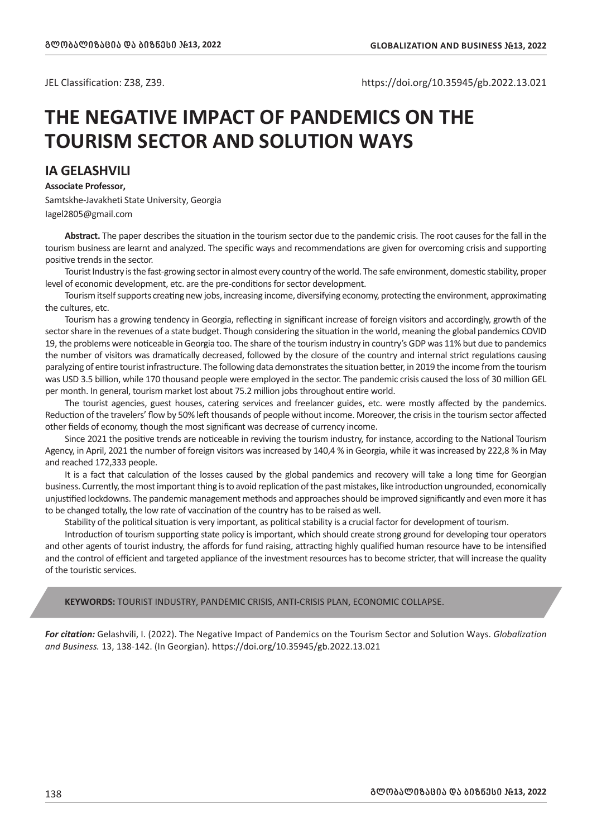JEL Classification: Z38, Z39. https://doi.org/10.35945/gb.2022.13.021

## **THE NEGATIVE IMPACT OF PANDEMICS ON THE TOURISM SECTOR AND SOLUTION WAYS**

## **IA GELASHVILI**

**Associate Professor,** Samtskhe-Javakheti State University, Georgia Iagel2805@gmail.com

**Abstract.** The paper describes the situation in the tourism sector due to the pandemic crisis. The root causes for the fall in the tourism business are learnt and analyzed. The specific ways and recommendations are given for overcoming crisis and supporting positive trends in the sector.

Tourist Industry is the fast-growing sector in almost every country of the world. The safe environment, domestic stability, proper level of economic development, etc. are the pre-conditions for sector development.

Tourism itself supports creating new jobs, increasing income, diversifying economy, protecting the environment, approximating the cultures, etc.

Tourism has a growing tendency in Georgia, reflecting in significant increase of foreign visitors and accordingly, growth of the sector share in the revenues of a state budget. Though considering the situation in the world, meaning the global pandemics COVID 19, the problems were noticeable in Georgia too. The share of the tourism industry in country's GDP was 11% but due to pandemics the number of visitors was dramatically decreased, followed by the closure of the country and internal strict regulations causing paralyzing of entire tourist infrastructure. The following data demonstrates the situation better, in 2019 the income from the tourism was USD 3.5 billion, while 170 thousand people were employed in the sector. The pandemic crisis caused the loss of 30 million GEL per month. In general, tourism market lost about 75.2 million jobs throughout entire world.

The tourist agencies, guest houses, catering services and freelancer guides, etc. were mostly affected by the pandemics. Reduction of the travelers' flow by 50% left thousands of people without income. Moreover, the crisis in the tourism sector affected other fields of economy, though the most significant was decrease of currency income.

Since 2021 the positive trends are noticeable in reviving the tourism industry, for instance, according to the National Tourism Agency, in April, 2021 the number of foreign visitors was increased by 140,4 % in Georgia, while it was increased by 222,8 % in May and reached 172,333 people.

It is a fact that calculation of the losses caused by the global pandemics and recovery will take a long time for Georgian business. Currently, the most important thing is to avoid replication of the past mistakes, like introduction ungrounded, economically unjustified lockdowns. The pandemic management methods and approaches should be improved significantly and even more it has to be changed totally, the low rate of vaccination of the country has to be raised as well.

Stability of the political situation is very important, as political stability is a crucial factor for development of tourism.

Introduction of tourism supporting state policy is important, which should create strong ground for developing tour operators and other agents of tourist industry, the affords for fund raising, attracting highly qualified human resource have to be intensified and the control of efficient and targeted appliance of the investment resources has to become stricter, that will increase the quality of the touristic services.

**KEYWORDS:** TOURIST INDUSTRY, PANDEMIC CRISIS, ANTI-CRISIS PLAN, ECONOMIC COLLAPSE.

*For citation:* Gelashvili, I. (2022). The Negative Impact of Pandemics on the Tourism Sector and Solution Ways. *Globalization and Business.* 13, 138-142. (In Georgian). https://doi.org/10.35945/gb.2022.13.021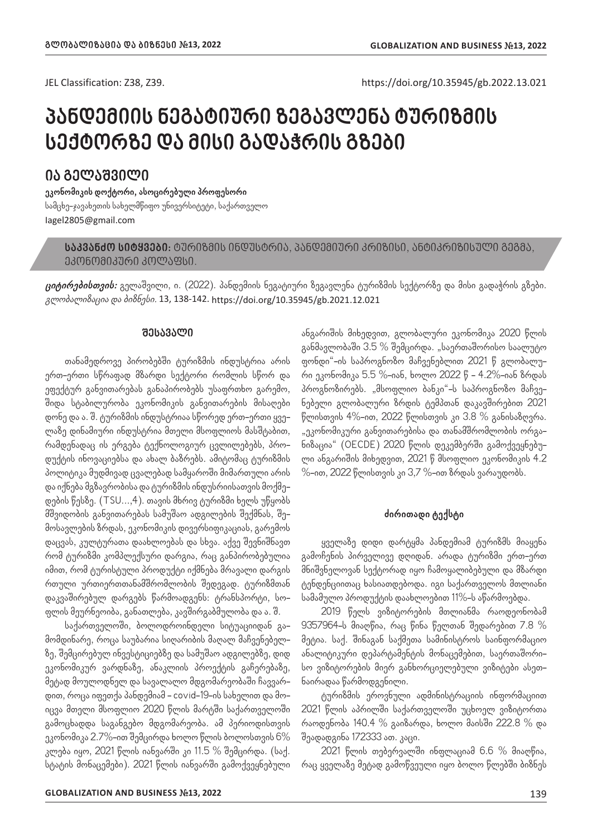JEL Classification: Z38, Z39. https://doi.org/10.35945/gb.2022.13.021

# **პანდემიის ნეგატიური ზეგავლენა ტურიზმის სექტორზე და მისი გადაჭრის გზები**

## **ია გელაშვილი**

**ეკონომიკის დოქტორი, ასოცირებული პროფესორი** სამცხე-ჯავახეთის სახელმწიფო უნივერსიტეტი, საქართველო Iagel2805@gmail.com

**საკვანძო სიტყვები:** ტურიზმის ინდუსტრია, პანდემიური კრიზისი, ანტიკრიზისული გეგმა, ეკონომიკური კოლაფსი.

**ციტირებისთვის:** გელაშვილი, ი. (2022). პანდემიის ნეგატიური ზეგავლენა ტურიზმის სექტორზე და მისი გადაჭრის გზები. გლობალიზაცია და ბიზნესი. 13, 138-142. https://doi.org/10.35945/gb.2021.12.021

#### **შესავალი**

თანამედროვე პირობებში ტურიზმის ინდუსტრია არის ერთ-ერთი სწრაფად მზარდი სექტორი რომლის სწორ და ეფექტურ განვითარებას განაპირობებს უსაფრთხო გარემო, შიდა სტაბილურობა ეკონომიკის განვითარების მისაღები დონე და ა. შ. ტურიზმის ინდუსტრიაა სწორედ ერთ-ერთი ყველაზე დინამიური ინდუსტრია მთელი მსოფლიოს მასშტაბით, რამდენადაც ის ერგება ტექნოლოგიურ ცვლილებებს, პროდუქტის ინოვაციებსა და ახალ ბაზრებს. ამიტომაც ტურიზმის პოლიტიკა მუდმივად ცვალებად სამყაროში მიმართული არის და იქნება მგზავრობისა და ტურიზმის ინდუსრიისათვის მოქმედების წესზე. (TSU...,4). თავის მხრივ ტურიზმი ხელს უწყობს მშვიდობის განვითარებას სამუშაო ადგილების შექმნას, შემოსავლების ზრდას, ეკონომიკის დივერსიფიკაციას, გარემოს დაცვას, კულტურათა დაახლოებას და სხვა. აქვე შევნიშნავთ რომ ტურიზმი კომპლექსური დარგია, რაც განპირობებულია იმით, რომ ტურისტული პროდუქტი იქმნება მრავალი დარგის რთული ურთიერთთანამშრომლობის შედეგად. ტურიზმთან დაკვაშირებულ დარგებს წარმოადგენს: ტრანსპორტი, სოფლის მეურნეოიბა, განათლება, კავშირგაბმულობა და ა. შ.

საქართველოში, ბოლოდროინდელი სიტუაციიდან გამომდინარე, როცა საუბარია სიღარიბის მაღალ მაჩვენებელზე, შემცირებულ ინვესტიციებზე და სამუშაო ადგილებზე, დიდ ეკონომიკურ ვარდნაზე, ანაკლიის პროექტის გაჩერებაზე, მეტად მოულოდნელ და სავალალო მდგომარეობაში ჩავვარდით, როცა იფეთქა პანდემიამ - covid-19-ის სახელით და მოიცვა მთელი მსოფლიო 2020 წლის მარტში საქართველოში გამოცხადდა საგანგებო მდგომარეობა. ამ პერიოდისთვის ეკონომიკა 2.7%-ით შემცირდა ხოლო წლის ბოლოსთვის 6% კლება იყო, 2021 წლის იანვარში კი 11.5 % შემცირდა. (საქ. სტატის მონაცემები). 2021 წლის იანვარში გამოქვეყნებული ანგარიშის მიხედვით, გლობალური ეკონომიკა 2020 წლის განმავლობაში 3.5 % შემცირდა. "საერთაშორისო საალუტო ფონდი"-ის საპროგნოზო მაჩვენებლით 2021 წ გლობალური ეკონომიკა 5.5 %-იან, ხოლო 2022 წ - 4.2%-იან ზრდას პროგნოზირებს. "მსოფლიო ბანკი"-ს საპროგნოზო მაჩვენებელი გლობალური ზრდის ტემპთან დაკავშირებით 2021 წლისთვის 4%-ით, 2022 წლისთვის კი 3.8 % განისაზღვრა. "ეკონომიკური განვითარებისა და თანამშრომლობის ორგანიზაცია" (OECDE) 2020 წლის დეკემბერში გამოქვეყნებული ანგარიშის მიხედვით, 2021 წ მსოფლიო ეკონომიკის 4.2 %-ით, 2022 წლისთვის კი 3,7 %-ით ზრდას ვარაუდობს.

#### **ძირითადი ტექსტი**

ყველაზე დიდი დარტყმა პანდემიამ ტურიზმს მიაყენა გამოჩენის პირველივე დღიდან. არადა ტურიზმი ერთ-ერთ მნიშვნელოვან სექტორად იყო ჩამოყალიბებული და მზარდი ტენდენციითაც ხასიათდებოდა. იგი საქართველოს მთლიანი სამამულო პროდუქტის დაახლოებით 11%-ს აწარმოებდა.

2019 წელს ვიზიტორების მთლიანმა რაოდეონობამ 9357964-ს მიაღწია, რაც წინა წელთან შედარებით 7.8 % მეტია. საქ. შინაგან საქმეთა სამინისტროს საინფორმაციო ანალიტიკური დეპარტამენტის მონაცემებით, საერთაშორისო ვიზიტორების მიერ განხორციელებული ვიზიტები ასეთნაირადაა წარმოდგენილი.

ტურიზმის ეროვნული ადმინისტრაციის ინფორმაციით 2021 წლის აპრილში საქართველოში უცხოელ ვიზიტორთა რაოდენობა 140.4 % გაიზარდა, ხოლო მაისში 222.8 % და შეადადგინა 172333 ათ. კაცი.

2021 წლის თებერვალში ინფლაციამ 6.6 % მიაღწია, რაც ყველაზე მეტად გამოწვეული იყო ბოლო წლებში ბიზნეს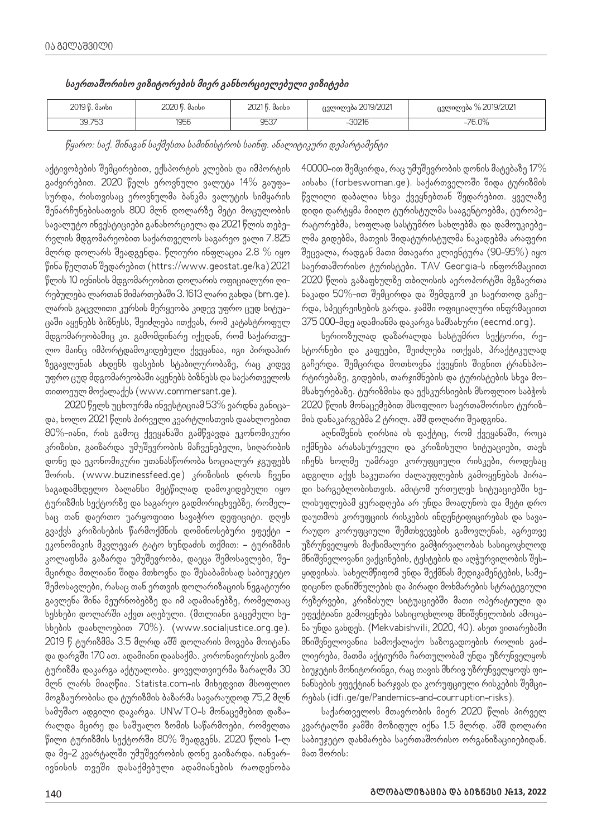| 2019 წ. მაისი | 2020 წ. მაისი | 2021 წ. მაისი | ცვლილება 2019/2021 | %2019/2021<br>ცვლილება |
|---------------|---------------|---------------|--------------------|------------------------|
| 39.753        | 1956          | 9537          | $-30216$           | $-76.0%$               |

წყარო: საქ. შინაგან საქმესთა სამინისტროს საინფ. ანალიტიკური დეპარტამენტი

აქტივობების შემცირებით, ექსპორტის კლების და იმპორტის გაძვირებით. 2020 წელს ეროვნული ვალუტა 14% გაუფასურდა, რისთვისაც ეროვნულმა ბანკმა ვალუტის სიმყარის შენარჩუნებისათვის 800 მლნ დოლარზე მეტი მოცულობის სავალუტო ინვესტიციები განახორციელა და 2021 წლის თებერვლის მდგომარეობით საქართველოს საგარეო ვალი 7.825 მლრდ დოლარს შეადგენდა. წლიური ინფლაცია 2.8 % იყო წინა წელთან შედარებით (httrs://www.geostat.ge/ka) 2021 წლის 10 ივნისის მდგომარეობით დოლარის ოფიციალური ღირებულება ლართან მიმართებაში 3.1613 ლარი გახდა (bm.ge). ლარის გაცვლითი კურსის მერყეობა კიდევ უფრო ცუდ სიტუაცაში აყენებს ბიზნესს, შეიძლება ითქვას, რომ კატასტროფულ მდგომარეობაშიც კი. გამომდინარე იქედან, რომ საქართველო მაინც იმპორტდამოკიდებული ქვეყანაა, იგი პირდაპირ ზეგავლენას ახდენს ფასების სტაბილურობაზე, რაც კიდევ უფრო ცუდ მდგომარეობაში აყენებს ბიზნესს და საქართველოს თითოეულ მოქალაქეს (www.commersant.ge).

2020 წელს უცხოურმა ინვესტიციამ 53% ვარდნა განიცადა, ხოლო 2021 წლის პირველი კვარტლისთვის დაახლოებით 80%-იანი, რის გამოც ქვეყანაში გამწვავდა ეკონომიკური კრიზისი, გაიზარდა უმუშევრობის მაჩვენებელი, სიღარიბის დონე და ეკონომიკური უთანასწორობა სოციალურ ჯგუფებს შორის. (www.buzinessfeed.ge) კრიზისის დროს ჩვენი საგადამხდელო ბალანსი მეტწილად დამოკიდებული იყო ტურიზმის სექტორზე და საგარეო გადმორიცხვებზე, რომელსაც თან დაერთო უარყოფითი სავაჭრო დეფიციტი. დღეს გვაქვს კრიზისების წარმოქმნის დომინოსებური ეფექტი ეკონომიკის მკვლევარ ტატო ხუნდაძის თქმით: - ტურიზმის კოლაფსმა გაზარდა უმუშევრობა, დაეცა შემოსავლები, შემცირდა მთლიანი შიდა მთხოვნა და შესაბამისად საბიუჯეტო შემოსავლები, რასაც თან ერთვის დოლარიზაციის ნეგატიური გავლენა შინა მეურნობებზე და იმ ადამიანებზე, რომელთაც სესხები დოლარში აქვთ აღებული. (მთლიანი გაცემული სესხების დაახლოებით 70%). (www.socialjustice.org.ge). 2019 წ ტურიზმმა 3.5 მლრდ აშშ დოლარის მოგება მოიტანა და დარგში 170 ათ. ადამიანი დაასაქმა. კორონავირუსის გამო ტურიზმა დაკარგა აქტუალობა. ყოველთვიურმა ზარალმა 30 მლნ ლარს მიაღწია. Statista.com-ის მიხედვით მსოფლიო მოგზაურობისა და ტურიზმის ბაზარმა სავარაუდოდ 75,2 მლნ სამუშაო ადგილი დაკარგა. UNWTO-ს მონაცემებით დაზარალდა მცირე და საშუალო ზომის საწარმოები, რომელთა წილი ტურიზმის სექტორში 80% შეადგენს. 2020 წლის 1-ლ და მე-2 კვარტალში უმუშევრობის დონე გაიზარდა. იანვარივნისის თვეში დასაქმებული ადამიანების რაოდენობა

40000-ით შემცირდა, რაც უმუშევრობის დონის მატებაზე 17% აისახა (forbeswoman.ge). საქართველოში შიდა ტურიზმის წვლილი დაბალია სხვა ქვეყნებთან შედარებით. ყველაზე დიდი დარტყმა მიიღო ტურისტულმა სააგენტოებმა, ტუროპერატორებმა, სოფლად სასტუმრო სახლებმა და დამოუკიებელმა გიდებმა, მათვის შიდატურისტულმა ნაკადებმა არაფერი შეცვალა, რადგან მათი მთავარი კლიენტურა (90-95%) იყო საერთაშორისო ტურისტები. TAV Georgia-ს ინფორმაციით 2020 წლის გაზაფხულზე თბილისის აეროპორტში მგზავრთა ნაკადი 50%-ით შემცირდა და შემდგომ კი საერთოდ გაჩერდა, სპეცრეისების გარდა. ჯამში ოფიციალური ინფრმაციით 375 000-მდე ადამიანმა დაკარგა სამსახური (eecmd.org).

სერიოზულად დაზარალდა სასტუმრო სექტორი, რესტორნები და კაფეები, შეიძლება ითქვას, პრაქტიკულად გაჩერდა. შემცირდა მოთხოვნა ქვეყნის შიგნით ტრანსპორტირებაზე, გიდების, თარჯიმნების და ტურისტების სხვა მომსახურებაზე. ტურიზმისა და ექსკურსიების მსოფლიო საბჭოს 2020 წლის მონაცემებით მსოფლიო საერთაშორისო ტურიზმის დანაკარგებმა 2 ტრილ. აშშ დოლარი შეადგინა.

აღნიშვნის ღირსია ის ფაქტიც, რომ ქვეყანაში, როცა იქმნება არასასურველი და კრიზისული სიტუაციები, თავს იჩენს ხოლმე უამრავი კორუფციული რისკები, როდესაც ადგილი აქვს საკუთარი ძალაუფლების გამოყენებას პირადი სარგებლობისთვის. ამიტომ ურთულეს სიტუაციებში ხელისუფლებამ ყურადღება არ უნდა მოადუნოს და მეტი დრო დაუთმოს კორუფციის რისკების ინდენტიფიცირებას და სავარაუდო კორუფციული შემთხვევების გამოვლენას, აგრეთვე უზრუნველყოს მაქსიმალური გამჭირვალობას სასიცოცხლოდ მნიშვნელოვანი ვაქცინების, ტესტების და აღჭურვილობის შესყიდვისას. სახელმწიფომ უნდა შექმნას მედიკამენტების, სამედიცინო დანიშნულების და პირადი მოხმარების სტრატეგიული რეზერვები, კრიზისულ სიტუაციებში მათი ოპერატიული და ეფექტიანი გამოყენება სასიცოცხლოდ მნიშვნელობის ამოცანა უნდა გახდეს. (Mekvabishvili, 2020, 40). ასეთ ვითარებაში მნიშვნელოვანია სამოქალაქო საზოგადოების როლის გაძლიერება, მათმა აქტიურმა ჩართულობამ უნდა უზრუნველყოს ბიუჯეტის მონიტორინგი, რაც თავის მხრივ უზრუნველყოფს ფინანსების ეფექტიან ხარჯვას და კორუფციული რისკების შემცირებას (idfi.ge/ge/Pandemics-and-courruption-risks).

საქართველოს მთავრობის მიერ 2020 წლის პირველ კვარტალში ჯამში მოზიდულ იქნა 1.5 მლრდ. აშშ დოლარი საბიუჯეტო დახმარება საერთაშორისო ორგანიზაციიებიდან. მათ შორის: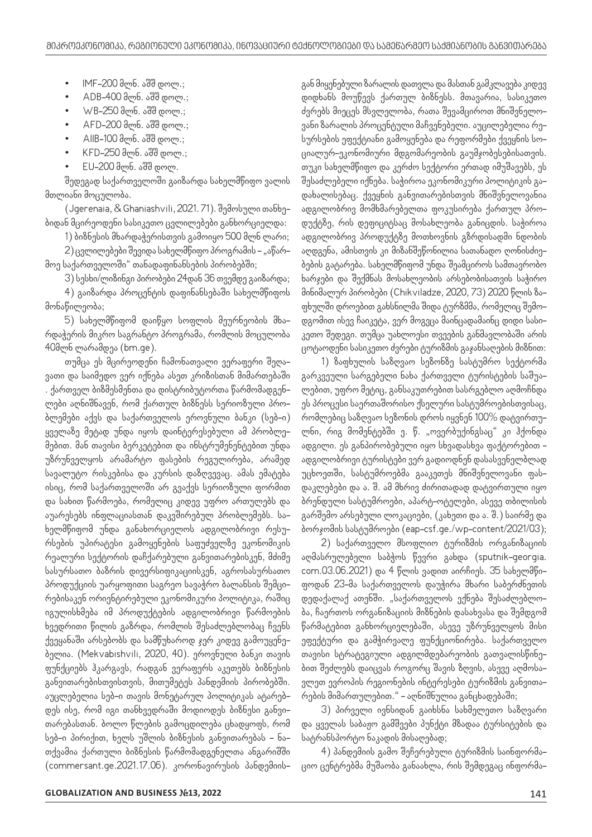- IMF-200 მლნ. აშშ დოლ.;
- ADB-400 მლნ. აშშ დოლ.;
- WB-250 მლნ. აშშ დოლ.;
- AFD-200 მლნ. აშშ დოლ.;
- AIIB-100 მლნ. აშშ დოლ.;
- KFD-250 მლნ. აშშ დოლ.;
- EU-200 მლნ. აშშ დოლ.

შედეგად საქართველოში გაიზარდა სახელმწიფო ვალის მთლიანი მოცულობა.

(Jgerenaia, & Ghaniashvili, 2021. 71). შემოსული თანხებიდან მცირეოდენი სასიკეთო ცვლილებები განხორციელდა:

1) ბიზნესის მხარდაჭერისთვის გამოიყო 500 მლნ ლარი;

2) ცვლილებები შევიდა სახელმწიფო პროგრამის – "აწარ– მოე საქართველოში" თანადაფინანსების პირობებში;

3) სესხი/ლიზინგი პირობები 24დან 36 თვემდე გაიზარდა;

4) გაიზარდა პროცენტის დაფინანსებაში სახელმწიფოს მონაწილეობა;

5) სახელმწიფომ დაიწყო სოფლის მეურნეობის მხარდაჭერის მიკრო საგრანტო პროგრამა, რომლის მოცულობა 40მლნ ლარამდეა (bm.ge).

თუმცა ეს მცირეოდენი ჩამონათვალი ვერაფერი შეღავათი და საიმედო ვერ იქნება ასეთ კრიზისთან მიმართებაში . ქართველ ბიზმესმენთა და დისტრიბუტორთა წარმომადგენლები აღნიშნავენ, რომ ქართულ ბიზნესს სერიოზული პრობლემები აქვს და საქართველოს ეროვნული ბანკი (სებ-ი) ყველაზე მეტად უნდა იყოს დაინტერესებული ამ პრობლემებით. მან თავისი ბერკეტებით და ინსტრუმენენტებით უნდა უზრუნველყოს არამარტო ფასების რეგულირება, არამედ სავალუტო რისკებისა და კურსის დაზღვევაც. ამას ემატება ისიც, რომ საქართველოში არ გვაქვს სერიოზული ფორმით და სახით წარმოება, რომელიც კიდევ უფრო ართულებს და აუარესებს ინფლაციასთან დაკვშირებულ პრობლემებს. სახელმწიფომ უნდა განახორციელოს ადგილობრივი რესურსების უპირატესი გამოყენების საფუძველზე ეკონომიკის რეალური სექტორის დაჩქარებული განვითარებისკენ, მძიმე სასურსათო ბაზრის დივერსიფიკაციისკენ, აგროსასურსათო პროდუქციის უარყოფითი საგრეო სავაჭრო ბალანსის შემცირებისაკენ ორიენტირებული ეკონომიკური პოლიტიკა, რაშიც იგულისხმება იმ პროდუქტების ადგილობრივი წარმოების ხვედრითი წილის გაზრდა, რომლის შესაძლებლობაც ჩვენს ქვეყანაში არსებობს და სამწუხაროდ ჯერ კიდევ გამოუყენებელია. (Mekvabishvili, 2020, 40). ეროვნული ბანკი თავის ფუნქციებს ჰკარგავს, რადგან ვერაფერს აკეთებს ბიზნესის განვითარებისთვისთვის, მითუმეტეს პანდემიის პირობებში. აუცლებელია სებ-ი თავის მონეტარულ პოლიტიკას ატარებდეს ისე, რომ იგი თანხვედრაში მოდიოდეს ბიზნესი განვითარებასთან. ბოლო წლების გამოცდილება ცხადყოფს, რომ სებ-ი პირიქით, ხელს უშლის ბიზნესის განვითარებას - ნათქვამია ქართული ბიზნესის წარმომადგენელთა ანგარიშში (commersant.ge.2021.17.06). კორონავირუსის პანდემიის-

გან მიყენებული ზარალის დათვლა და მასთან გამკლავება კიდევ დიდხანს მოუწევს ქართულ ბიზნესს. მთავარია, სასიკეთო ძვრებს მიეცეს მსვლელობა, რათა შევამციროთ მნიშვნელოვანი ზარალის პროცენტული მაჩვენებელი. აუცილებელია რესურსების ეფექტიანი გამოყენება და რეფორმები ქვეყნის სოციალურ-ეკონომიური მდგომარეობის გაუმჯობესებისათვის. თუკი სახელმწიფო და კერძო სექტორი ერთად იმუშავებს, ეს შესაძლებელი იქნება. საჭიროა ეკონომიკური პოლიტიკის გადახალისებაც. ქვეყნის განვითარებისთვის მნიშვნელოვანია ადგილობრივ მომხმარებელთა ფოკუსირება ქართულ პროდუქტზე, რის დეფიციტსაც მოსახლეობა განიცდის. საჭიროა ადგილობრივ პროდუქტზე მოთხოვნის გზრდისადმი ნდობის აღდგენა, ამისთვის კი მიზანშეწონილია სათანადო ღონისძიებების გატარება. სახელმწიფომ უნდა შეამციროს სამთავრობო ხარჯები და შექმნას მოსახლეობის არსებობისათვის საჭირო მინიმალურ პირობები (Chikviladze, 2020, 73) 2020 წლის ზაფხულში დროებით გახსნილმა შიდა ტურზმმა, რომელიც შემოდგომით ისევ ჩაიკეტა, ვერ მოგვცა მაინცადამაინც დიდი სასიკეთო შედეგი. თუმცა უახლოესი თვეების განმავლობაში არის ცოტაოდენი სასიკეთო ძვრები ტურიზმის გაჯანსაღების მიზნით:

1) ზაფხულის საზღვაო სეზონზე სასტუმრო სექტორმა გარკვეული სარგებელი ნახა ქართველი ტურისტების საშუალებით, უფრო მეტიც, განსაკუთრებით სასრგებლო აღმოჩნდა ეს პროცესი საერთაშორისო ქსელური სასტუმროებისთვისაც, რომლებიც საზღვაო სეზონის დროს იყვნენ 100% დატვირთულნი, რიგ მომენტებში ე. წ. "ოვერბუქინგსაც" კი ჰქონდა ადგილი. ეს განპირობებული იყო სხვადასხვა ფაქტორებით ადგილობრივი ტურისტები ვერ გადიოდნენ დასასვენელბლად უცხოეთში, სასტუმროებმა გააკეთეს მნიშვნელოვანი ფასდაკლებები და ა. შ. ამ მხრივ ძირითადად დატვირთული იყო ბრენდული სასტუმროები, აპარტ-ოტელები, ასევე თბილისის გარშემო არსებული ლოკაციები, (კახეთი და ა. შ.) საირმე და ბორჯომის სასტუმროები (eap-csf.ge./wp-content/2021/03);

2) საქართველო მსოფლიო ტურიზმის ორგანიზაციის აღმასრულებელი საბჭოს წევრი გახდა (sputnik-georgia. com.03.06.2021) და 4 წლის ვადით აირჩიეს. 35 სახელმწიფოდან 23-მა საქართველოს დაუჭირა მხარი საბერძნეთის დედაქალაქ ათენში. "საქართველოს ექნება შესაძლებლობა, ჩაერთოს ორგანიზაციის მიზნების დასახვასა და შემდგომ წარმატებით განხორციელებაში, ასევე უზრუნველყოს მისი ეფექტური და გამჭირვალე ფუნქციონირება. საქართველო თავისი სტრატეგიული ადგილმდებარეობის გათვალისწინებით შეძლებს დაიცვას როგორც შავის ზღვის, ასევე აღმოსავლეთ ევროპის რეგიონების ინტერესები ტურიზმის განვითარების მიმართულებით." - აღნიშნულია განცხადებაში;

3) პირველი ივნსიდან გაიხსნა სახმელეთო საზღვარი და ყველას საბაჟო გამშვები პუნქტი მზადაა ტურსიტების და სატრანსპორტო ნაკადის მისაღებად;

4) პანდემიის გამო შეჩერებული ტურიზმის საინფორმაციო ცენტრებმა მუშაობა განაახლა, რის შემდეგაც ინფორმა